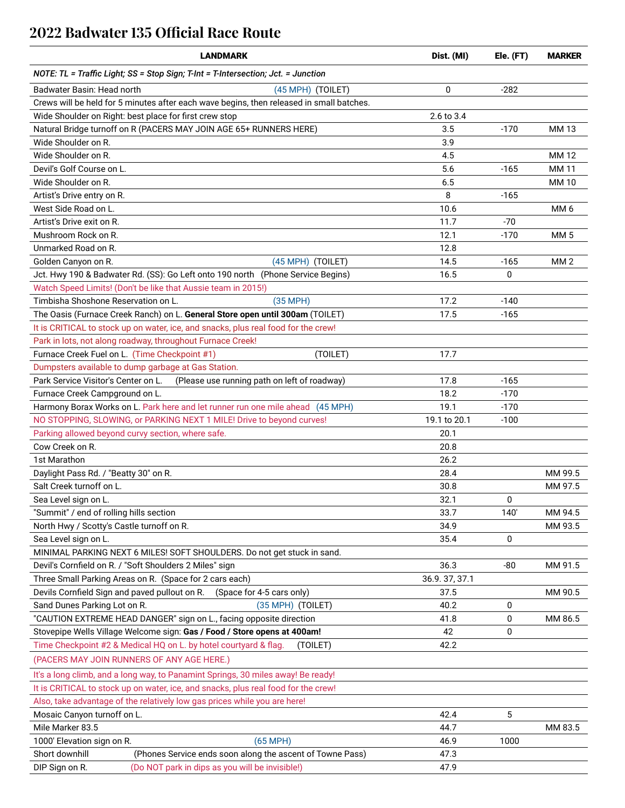## **2022 Badwater 135 Official Race Route**

| <b>LANDMARK</b>                                                                          | Dist. (MI)   | Ele. (FT)        | <b>MARKER</b>   |
|------------------------------------------------------------------------------------------|--------------|------------------|-----------------|
| NOTE: TL = Traffic Light; SS = Stop Sign; T-Int = T-Intersection; Jct. = Junction        |              |                  |                 |
| Badwater Basin: Head north<br>(45 MPH) (TOILET)                                          | 0            | $-282$           |                 |
| Crews will be held for 5 minutes after each wave begins, then released in small batches. |              |                  |                 |
| Wide Shoulder on Right: best place for first crew stop                                   | 2.6 to 3.4   |                  |                 |
| Natural Bridge turnoff on R (PACERS MAY JOIN AGE 65+ RUNNERS HERE)                       | 3.5          | $-170$           | MM 13           |
| Wide Shoulder on R.                                                                      | 3.9          |                  |                 |
| Wide Shoulder on R.                                                                      | 4.5          |                  | <b>MM12</b>     |
| Devil's Golf Course on L.                                                                | 5.6          | $-165$           | MM 11           |
| Wide Shoulder on R.                                                                      | 6.5          |                  | <b>MM10</b>     |
| Artist's Drive entry on R.                                                               | 8            | $-165$           |                 |
| West Side Road on L.                                                                     | 10.6         |                  | MM <sub>6</sub> |
| Artist's Drive exit on R.                                                                | 11.7         | $-70$            |                 |
| Mushroom Rock on R.                                                                      | 12.1         | $-170$           | <b>MM5</b>      |
| Unmarked Road on R.                                                                      | 12.8         |                  |                 |
| Golden Canyon on R.<br>(45 MPH) (TOILET)                                                 | 14.5         | $-165$           | MM <sub>2</sub> |
| Jct. Hwy 190 & Badwater Rd. (SS): Go Left onto 190 north (Phone Service Begins)          | 16.5         | $\Omega$         |                 |
| Watch Speed Limits! (Don't be like that Aussie team in 2015!)                            |              |                  |                 |
| Timbisha Shoshone Reservation on L.<br>$(35 \text{ MPH})$                                | 17.2         | $-140$           |                 |
| The Oasis (Furnace Creek Ranch) on L. General Store open until 300am (TOILET)            | 17.5         | $-165$           |                 |
| It is CRITICAL to stock up on water, ice, and snacks, plus real food for the crew!       |              |                  |                 |
| Park in lots, not along roadway, throughout Furnace Creek!                               |              |                  |                 |
|                                                                                          |              |                  |                 |
| Furnace Creek Fuel on L. (Time Checkpoint #1)<br>(TOILET)                                | 17.7         |                  |                 |
| Dumpsters available to dump garbage at Gas Station.                                      |              |                  |                 |
| Park Service Visitor's Center on L.<br>(Please use running path on left of roadway)      | 17.8<br>18.2 | $-165$<br>$-170$ |                 |
| Furnace Creek Campground on L.                                                           | 19.1         |                  |                 |
| Harmony Borax Works on L. Park here and let runner run one mile ahead (45 MPH)           |              | $-170$           |                 |
| NO STOPPING, SLOWING, or PARKING NEXT 1 MILE! Drive to beyond curves!                    | 19.1 to 20.1 | $-100$           |                 |
| Parking allowed beyond curvy section, where safe.                                        | 20.1         |                  |                 |
| Cow Creek on R.                                                                          | 20.8         |                  |                 |
| 1st Marathon                                                                             | 26.2         |                  |                 |
| Daylight Pass Rd. / "Beatty 30" on R.                                                    | 28.4         |                  | MM 99.5         |
| Salt Creek turnoff on L.                                                                 | 30.8         |                  | MM 97.5         |
| Sea Level sign on L.                                                                     | 32.1         | 0                |                 |
| "Summit" / end of rolling hills section                                                  | 33.7         | 140'             | MM 94.5         |
| North Hwy / Scotty's Castle turnoff on R.                                                | 34.9         |                  | MM 93.5         |
| Sea Level sign on L.                                                                     | 35.4         | 0                |                 |
| MINIMAL PARKING NEXT 6 MILES! SOFT SHOULDERS. Do not get stuck in sand.                  |              |                  |                 |
| Devil's Cornfield on R. / "Soft Shoulders 2 Miles" sign                                  | 36.3         | $-80$            | MM 91.5         |
| Three Small Parking Areas on R. (Space for 2 cars each)                                  | 36.9.37,37.1 |                  |                 |
| Devils Cornfield Sign and paved pullout on R.<br>(Space for 4-5 cars only)               | 37.5         |                  | MM 90.5         |
| Sand Dunes Parking Lot on R.<br>(35 MPH) (TOILET)                                        | 40.2         | 0                |                 |
| "CAUTION EXTREME HEAD DANGER" sign on L., facing opposite direction                      | 41.8         | 0                | MM 86.5         |
| Stovepipe Wells Village Welcome sign: Gas / Food / Store opens at 400am!                 | 42           | 0                |                 |
| Time Checkpoint #2 & Medical HQ on L. by hotel courtyard & flag.<br>(TOILET)             | 42.2         |                  |                 |
| (PACERS MAY JOIN RUNNERS OF ANY AGE HERE.)                                               |              |                  |                 |
| It's a long climb, and a long way, to Panamint Springs, 30 miles away! Be ready!         |              |                  |                 |
| It is CRITICAL to stock up on water, ice, and snacks, plus real food for the crew!       |              |                  |                 |
| Also, take advantage of the relatively low gas prices while you are here!                |              |                  |                 |
| Mosaic Canyon turnoff on L.                                                              | 42.4         | 5                |                 |
| Mile Marker 83.5                                                                         | 44.7         |                  | MM 83.5         |
| 1000' Elevation sign on R.<br>$(65 \text{ MPH})$                                         | 46.9         | 1000             |                 |
| Short downhill<br>(Phones Service ends soon along the ascent of Towne Pass)              | 47.3         |                  |                 |
| DIP Sign on R.<br>(Do NOT park in dips as you will be invisible!)                        | 47.9         |                  |                 |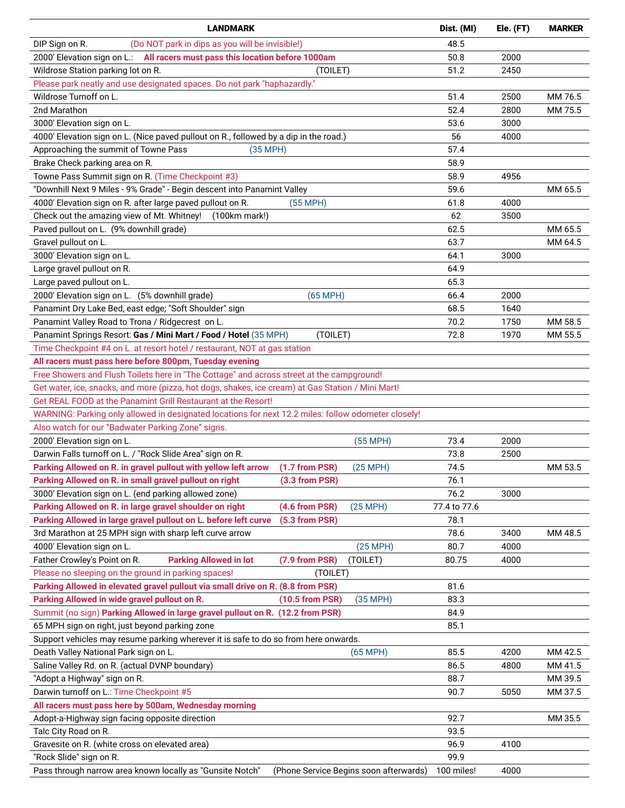| <b>LANDMARK</b>                                                                                     | Dist. (MI)   | Ele. (FT) | <b>MARKER</b> |
|-----------------------------------------------------------------------------------------------------|--------------|-----------|---------------|
| (Do NOT park in dips as you will be invisible!)<br>DIP Sign on R.                                   | 48.5         |           |               |
| 2000' Elevation sign on L.: All racers must pass this location before 1000am                        | 50.8         | 2000      |               |
| Wildrose Station parking lot on R.<br>(TOILET)                                                      | 51.2         | 2450      |               |
| Please park neatly and use designated spaces. Do not park "haphazardly."                            |              |           |               |
| Wildrose Turnoff on L.                                                                              | 51.4         | 2500      | MM 76.5       |
| 2nd Marathon                                                                                        | 52.4         | 2800      | MM 75.5       |
| 3000' Elevation sign on L.                                                                          | 53.6         | 3000      |               |
| 4000' Elevation sign on L. (Nice paved pullout on R., followed by a dip in the road.)               | 56           | 4000      |               |
| Approaching the summit of Towne Pass<br>$(35 \text{ MPH})$                                          | 57.4         |           |               |
| Brake Check parking area on R.                                                                      | 58.9         |           |               |
| Towne Pass Summit sign on R. (Time Checkpoint #3)                                                   | 58.9         | 4956      |               |
| "Downhill Next 9 Miles - 9% Grade" - Begin descent into Panamint Valley                             | 59.6         |           | MM 65.5       |
| 4000' Elevation sign on R. after large paved pullout on R.<br>$(55$ MPH)                            | 61.8         | 4000      |               |
| Check out the amazing view of Mt. Whitney! (100km mark!)                                            | 62           | 3500      |               |
| Paved pullout on L. (9% downhill grade)                                                             | 62.5         |           | MM 65.5       |
| Gravel pullout on L.                                                                                | 63.7         |           | MM 64.5       |
| 3000' Elevation sign on L.                                                                          | 64.1         | 3000      |               |
| Large gravel pullout on R.                                                                          | 64.9         |           |               |
| Large paved pullout on L.                                                                           | 65.3         |           |               |
| 2000' Elevation sign on L. (5% downhill grade)<br>$(65 \text{ MPH})$                                | 66.4         | 2000      |               |
| Panamint Dry Lake Bed, east edge; "Soft Shoulder" sign                                              | 68.5         | 1640      |               |
|                                                                                                     | 70.2         | 1750      | MM 58.5       |
| Panamint Valley Road to Trona / Ridgecrest on L.                                                    |              |           |               |
| Panamint Springs Resort: Gas / Mini Mart / Food / Hotel (35 MPH)<br>(TOILET)                        | 72.8         | 1970      | MM 55.5       |
| Time Checkpoint #4 on L. at resort hotel / restaurant, NOT at gas station                           |              |           |               |
| All racers must pass here before 800pm, Tuesday evening                                             |              |           |               |
| Free Showers and Flush Toilets here in "The Cottage" and across street at the campground!           |              |           |               |
| Get water, ice, snacks, and more (pizza, hot dogs, shakes, ice cream) at Gas Station / Mini Mart!   |              |           |               |
| Get REAL FOOD at the Panamint Grill Restaurant at the Resort!                                       |              |           |               |
| WARNING: Parking only allowed in designated locations for next 12.2 miles: follow odometer closely! |              |           |               |
| Also watch for our "Badwater Parking Zone" signs.                                                   |              |           |               |
| 2000' Elevation sign on L.<br>$(55$ MPH)                                                            | 73.4         | 2000      |               |
| Darwin Falls turnoff on L. / "Rock Slide Area" sign on R.                                           | 73.8         | 2500      |               |
| Parking Allowed on R. in gravel pullout with yellow left arrow<br>$(1.7$ from PSR)<br>$(25$ MPH)    | 74.5         |           | MM 53.5       |
| Parking Allowed on R. in small gravel pullout on right<br>(3.3 from PSR)                            | 76.1         |           |               |
| 3000' Elevation sign on L. (end parking allowed zone)                                               | 76.2         | 3000      |               |
| Parking Allowed on R. in large gravel shoulder on right<br>(4.6 from PSR)<br>$(25 \text{ MPH})$     | 77.4 to 77.6 |           |               |
| Parking Allowed in large gravel pullout on L. before left curve<br>(5.3 from PSR)                   | 78.1         |           |               |
| 3rd Marathon at 25 MPH sign with sharp left curve arrow                                             | 78.6         | 3400      | MM 48.5       |
| 4000' Elevation sign on L.<br>$(25 \text{ MPH})$                                                    | 80.7         | 4000      |               |
| <b>Parking Allowed in lot</b><br>Father Crowley's Point on R.<br>(7.9 from PSR)<br>(TOILET)         | 80.75        | 4000      |               |
| Please no sleeping on the ground in parking spaces!<br>(TOILET)                                     |              |           |               |
| Parking Allowed in elevated gravel pullout via small drive on R. (8.8 from PSR)                     | 81.6         |           |               |
| Parking Allowed in wide gravel pullout on R.<br>$(10.5$ from PSR)<br>$(35$ MPH $)$                  | 83.3         |           |               |
| Summit (no sign) Parking Allowed in large gravel pullout on R. (12.2 from PSR)                      | 84.9         |           |               |
| 65 MPH sign on right, just beyond parking zone                                                      | 85.1         |           |               |
| Support vehicles may resume parking wherever it is safe to do so from here onwards.                 |              |           |               |
| Death Valley National Park sign on L.<br>$(65 \text{ MPH})$                                         | 85.5         | 4200      | MM 42.5       |
| Saline Valley Rd. on R. (actual DVNP boundary)                                                      | 86.5         | 4800      | MM 41.5       |
| "Adopt a Highway" sign on R.                                                                        | 88.7         |           | MM 39.5       |
| Darwin turnoff on L.: Time Checkpoint #5                                                            | 90.7         | 5050      | MM 37.5       |
| All racers must pass here by 500am, Wednesday morning                                               |              |           |               |
| Adopt-a-Highway sign facing opposite direction                                                      | 92.7         |           | MM 35.5       |
| Talc City Road on R.                                                                                | 93.5         |           |               |
| Gravesite on R. (white cross on elevated area)                                                      | 96.9         | 4100      |               |
| "Rock Slide" sign on R.                                                                             | 99.9         |           |               |
| Pass through narrow area known locally as "Gunsite Notch"<br>(Phone Service Begins soon afterwards) | 100 miles!   | 4000      |               |